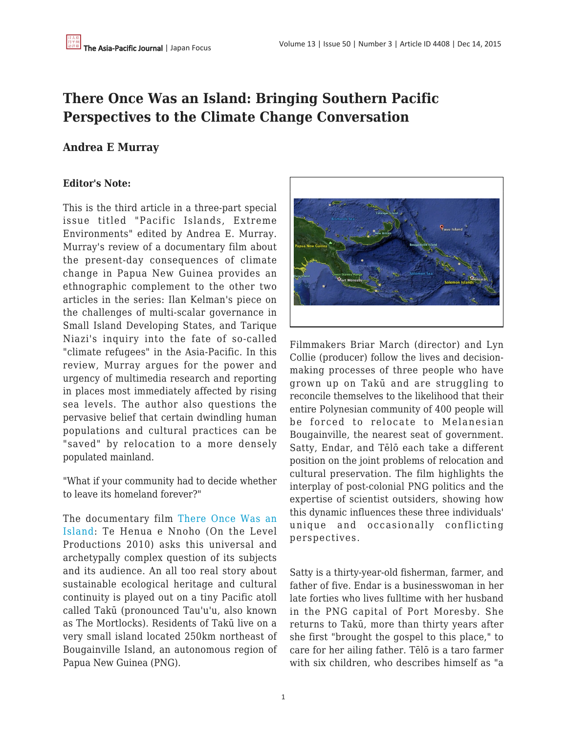# **There Once Was an Island: Bringing Southern Pacific Perspectives to the Climate Change Conversation**

## **Andrea E Murray**

### **Editor's Note:**

This is the third article in a three-part special issue titled "Pacific Islands, Extreme Environments" edited by Andrea E. Murray. Murray's review of a documentary film about the present-day consequences of climate change in Papua New Guinea provides an ethnographic complement to the other two articles in the series: Ilan Kelman's piece on the challenges of multi-scalar governance in Small Island Developing States, and Tarique Niazi's inquiry into the fate of so-called "climate refugees" in the Asia-Pacific. In this review, Murray argues for the power and urgency of multimedia research and reporting in places most immediately affected by rising sea levels. The author also questions the pervasive belief that certain dwindling human populations and cultural practices can be "saved" by relocation to a more densely populated mainland.

"What if your community had to decide whether to leave its homeland forever?"

The documentary film [There Once Was an](http://www.thereoncewasanisland.com/) [Island:](http://www.thereoncewasanisland.com/) Te Henua e Nnoho (On the Level Productions 2010) asks this universal and archetypally complex question of its subjects and its audience. An all too real story about sustainable ecological heritage and cultural continuity is played out on a tiny Pacific atoll called Takū (pronounced Tau'u'u, also known as The Mortlocks). Residents of Takū live on a very small island located 250km northeast of Bougainville Island, an autonomous region of Papua New Guinea (PNG).



Filmmakers Briar March (director) and Lyn Collie (producer) follow the lives and decisionmaking processes of three people who have grown up on Takū and are struggling to reconcile themselves to the likelihood that their entire Polynesian community of 400 people will be forced to relocate to Melanesian Bougainville, the nearest seat of government. Satty, Endar, and Tēlō each take a different position on the joint problems of relocation and cultural preservation. The film highlights the interplay of post-colonial PNG politics and the expertise of scientist outsiders, showing how this dynamic influences these three individuals' unique and occasionally conflicting perspectives.

Satty is a thirty-year-old fisherman, farmer, and father of five. Endar is a businesswoman in her late forties who lives fulltime with her husband in the PNG capital of Port Moresby. She returns to Takū, more than thirty years after she first "brought the gospel to this place," to care for her ailing father. Tēlō is a taro farmer with six children, who describes himself as "a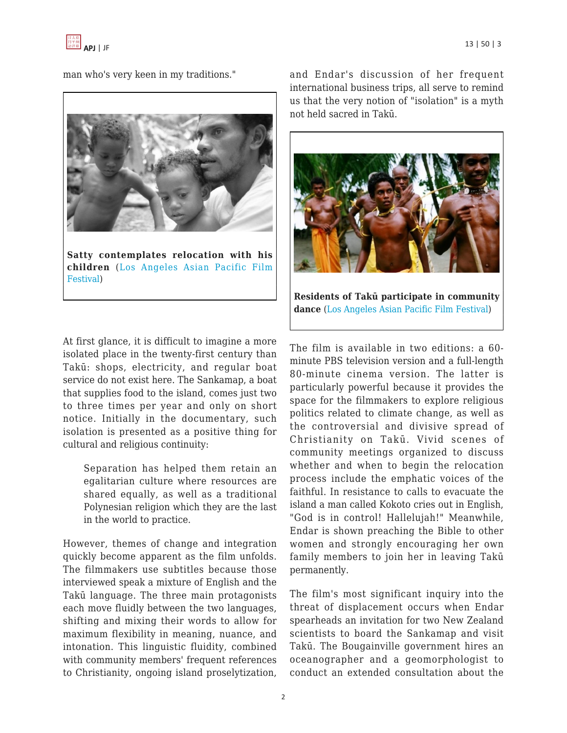

man who's very keen in my traditions."



**Satty contemplates relocation with his children** ([Los Angeles Asian Pacific Film](http://laapff.festpro.com/films/detail/there_once_was_an_island_2012) [Festival\)](http://laapff.festpro.com/films/detail/there_once_was_an_island_2012)

At first glance, it is difficult to imagine a more isolated place in the twenty-first century than Takū: shops, electricity, and regular boat service do not exist here. The Sankamap, a boat that supplies food to the island, comes just two to three times per year and only on short notice. Initially in the documentary, such isolation is presented as a positive thing for cultural and religious continuity:

Separation has helped them retain an egalitarian culture where resources are shared equally, as well as a traditional Polynesian religion which they are the last in the world to practice.

However, themes of change and integration quickly become apparent as the film unfolds. The filmmakers use subtitles because those interviewed speak a mixture of English and the Takū language. The three main protagonists each move fluidly between the two languages, shifting and mixing their words to allow for maximum flexibility in meaning, nuance, and intonation. This linguistic fluidity, combined with community members' frequent references to Christianity, ongoing island proselytization,

and Endar's discussion of her frequent international business trips, all serve to remind us that the very notion of "isolation" is a myth not held sacred in Takū.



**Residents of Takū participate in community dance** [\(Los Angeles Asian Pacific Film Festival](http://laapff.festpro.com/films/detail/there_once_was_an_island_2012))

The film is available in two editions: a 60 minute PBS television version and a full-length 80-minute cinema version. The latter is particularly powerful because it provides the space for the filmmakers to explore religious politics related to climate change, as well as the controversial and divisive spread of Christianity on Takū. Vivid scenes of community meetings organized to discuss whether and when to begin the relocation process include the emphatic voices of the faithful. In resistance to calls to evacuate the island a man called Kokoto cries out in English, "God is in control! Hallelujah!" Meanwhile, Endar is shown preaching the Bible to other women and strongly encouraging her own family members to join her in leaving Takū permanently.

The film's most significant inquiry into the threat of displacement occurs when Endar spearheads an invitation for two New Zealand scientists to board the Sankamap and visit Takū. The Bougainville government hires an oceanographer and a geomorphologist to conduct an extended consultation about the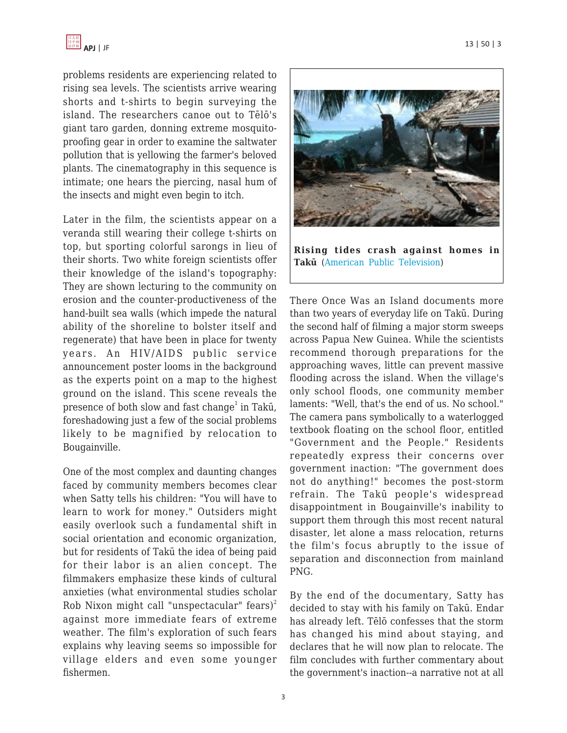

problems residents are experiencing related to rising sea levels. The scientists arrive wearing shorts and t-shirts to begin surveying the island. The researchers canoe out to Tēlō's giant taro garden, donning extreme mosquitoproofing gear in order to examine the saltwater pollution that is yellowing the farmer's beloved plants. The cinematography in this sequence is intimate; one hears the piercing, nasal hum of the insects and might even begin to itch.

Later in the film, the scientists appear on a veranda still wearing their college t-shirts on top, but sporting colorful sarongs in lieu of their shorts. Two white foreign scientists offer their knowledge of the island's topography: They are shown lecturing to the community on erosion and the counter-productiveness of the hand-built sea walls (which impede the natural ability of the shoreline to bolster itself and regenerate) that have been in place for twenty years. An HIV/AIDS public service announcement poster looms in the background as the experts point on a map to the highest ground on the island. This scene reveals the presence of both slow and fast change $^1$  in Takū, foreshadowing just a few of the social problems likely to be magnified by relocation to Bougainville.

One of the most complex and daunting changes faced by community members becomes clear when Satty tells his children: "You will have to learn to work for money." Outsiders might easily overlook such a fundamental shift in social orientation and economic organization, but for residents of Takū the idea of being paid for their labor is an alien concept. The filmmakers emphasize these kinds of cultural anxieties (what environmental studies scholar Rob Nixon might call "unspectacular" fears)<sup>2</sup> against more immediate fears of extreme weather. The film's exploration of such fears explains why leaving seems so impossible for village elders and even some younger fishermen.



**Rising tides crash against homes in Takū** ([American Public Television\)](http://www.kpbs.org/news/2012/may/07/pacific-heartbeat-there-once-was-island-te-henua-e/)

There Once Was an Island documents more than two years of everyday life on Takū. During the second half of filming a major storm sweeps across Papua New Guinea. While the scientists recommend thorough preparations for the approaching waves, little can prevent massive flooding across the island. When the village's only school floods, one community member laments: "Well, that's the end of us. No school." The camera pans symbolically to a waterlogged textbook floating on the school floor, entitled "Government and the People." Residents repeatedly express their concerns over government inaction: "The government does not do anything!" becomes the post-storm refrain. The Takū people's widespread disappointment in Bougainville's inability to support them through this most recent natural disaster, let alone a mass relocation, returns the film's focus abruptly to the issue of separation and disconnection from mainland PNG.

By the end of the documentary, Satty has decided to stay with his family on Takū. Endar has already left. Tēlō confesses that the storm has changed his mind about staying, and declares that he will now plan to relocate. The film concludes with further commentary about the government's inaction--a narrative not at all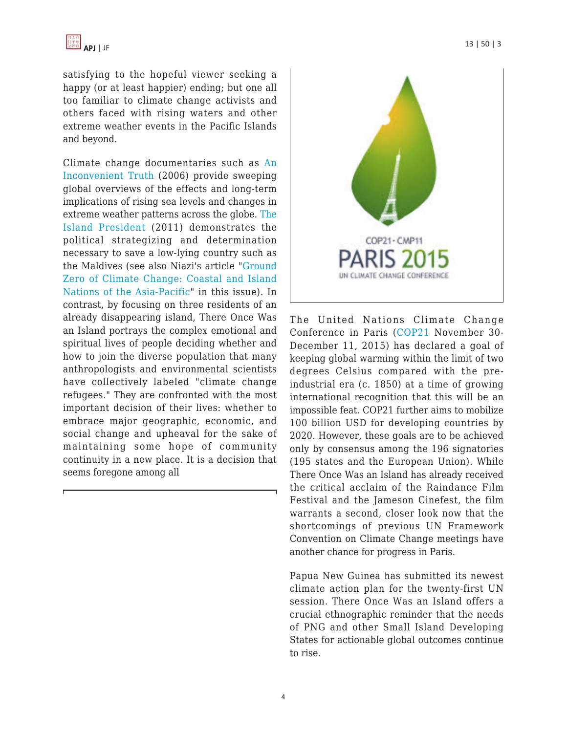satisfying to the hopeful viewer seeking a happy (or at least happier) ending; but one all too familiar to climate change activists and others faced with rising waters and other extreme weather events in the Pacific Islands and beyond.

Climate change documentaries such as [An](https://www.takepart.com/an-inconvenient-truth) [Inconvenient Truth](https://www.takepart.com/an-inconvenient-truth) (2006) provide sweeping global overviews of the effects and long-term implications of rising sea levels and changes in extreme weather patterns across the globe. [The](http://theislandpresident.com/) [Island President](http://theislandpresident.com/) (2011) demonstrates the political strategizing and determination necessary to save a low-lying country such as the Maldives (see also Niazi's article "[Ground](https://apjjf.org/-Tarique-Niazi/4407) [Zero of Climate Change: Coastal and Island](https://apjjf.org/-Tarique-Niazi/4407) [Nations of the Asia-Pacific"](https://apjjf.org/-Tarique-Niazi/4407) in this issue). In contrast, by focusing on three residents of an already disappearing island, There Once Was an Island portrays the complex emotional and spiritual lives of people deciding whether and how to join the diverse population that many anthropologists and environmental scientists have collectively labeled "climate change refugees." They are confronted with the most important decision of their lives: whether to embrace major geographic, economic, and social change and upheaval for the sake of maintaining some hope of community continuity in a new place. It is a decision that seems foregone among all



The United Nations Climate Change Conference in Paris ([COP21](http://newsroom.unfccc.int/) November 30- December 11, 2015) has declared a goal of keeping global warming within the limit of two degrees Celsius compared with the preindustrial era (c. 1850) at a time of growing international recognition that this will be an impossible feat. COP21 further aims to mobilize 100 billion USD for developing countries by 2020. However, these goals are to be achieved only by consensus among the 196 signatories (195 states and the European Union). While There Once Was an Island has already received the critical acclaim of the Raindance Film Festival and the Jameson Cinefest, the film warrants a second, closer look now that the shortcomings of previous UN Framework Convention on Climate Change meetings have another chance for progress in Paris.

Papua New Guinea has submitted its newest climate action plan for the twenty-first UN session. There Once Was an Island offers a crucial ethnographic reminder that the needs of PNG and other Small Island Developing States for actionable global outcomes continue to rise.